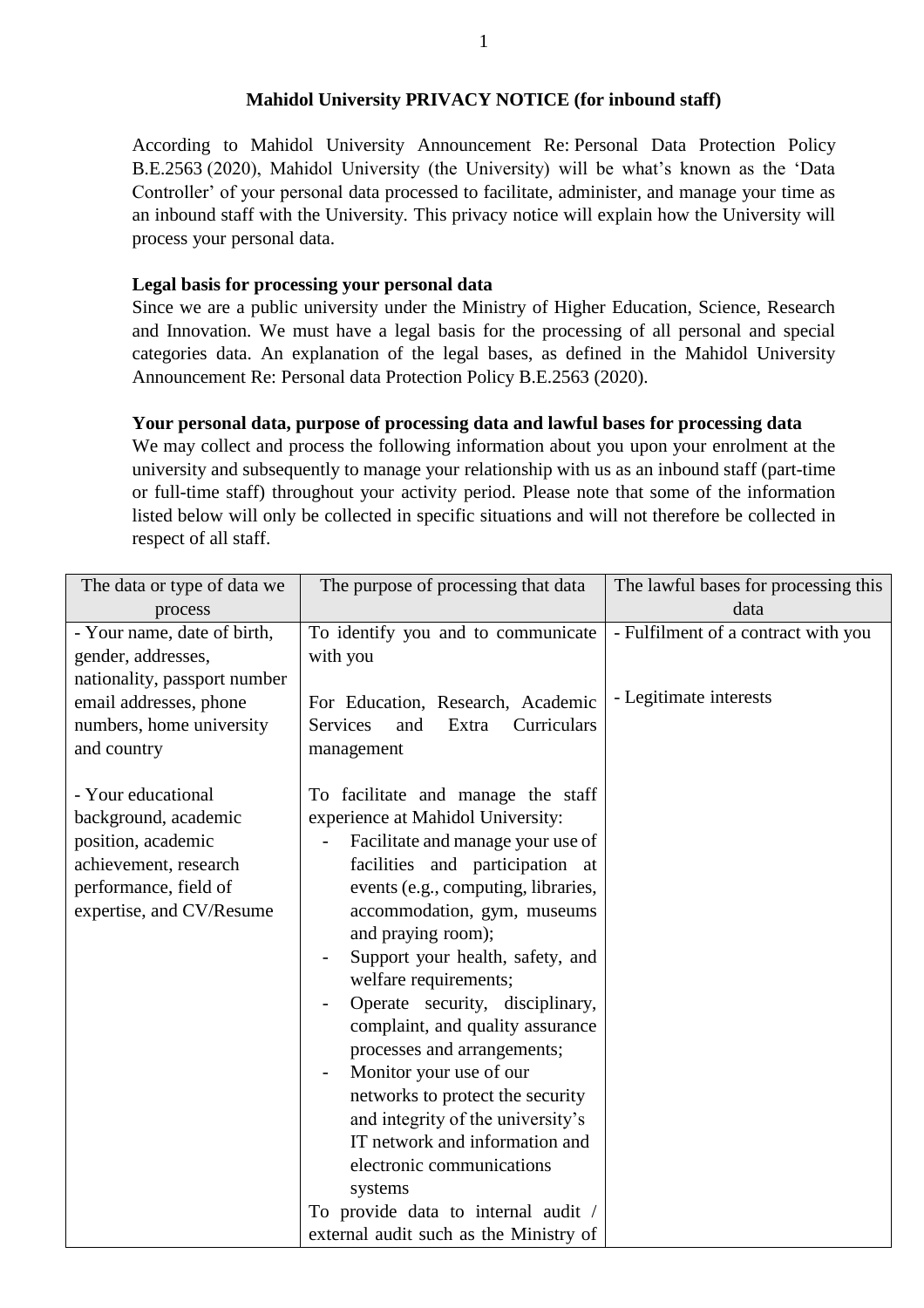#### **Mahidol University PRIVACY NOTICE (for inbound staff)**

According to Mahidol University Announcement Re: Personal Data Protection Policy B.E.2563 (2020), Mahidol University (the University) will be what's known as the 'Data Controller' of your personal data processed to facilitate, administer, and manage your time as an inbound staff with the University. This privacy notice will explain how the University will process your personal data.

## **Legal basis for processing your personal data**

Since we are a public university under the Ministry of Higher Education, Science, Research and Innovation. We must have a legal basis for the processing of all personal and special categories data. An explanation of the legal bases, as defined in the Mahidol University Announcement Re: Personal data Protection Policy B.E.2563 (2020).

#### **Your personal data, purpose of processing data and lawful bases for processing data**

We may collect and process the following information about you upon your enrolment at the university and subsequently to manage your relationship with us as an inbound staff (part-time or full-time staff) throughout your activity period. Please note that some of the information listed below will only be collected in specific situations and will not therefore be collected in respect of all staff.

| The data or type of data we  | The purpose of processing that data                       | The lawful bases for processing this |
|------------------------------|-----------------------------------------------------------|--------------------------------------|
| process                      |                                                           | data                                 |
| - Your name, date of birth,  | To identify you and to communicate                        | - Fulfilment of a contract with you  |
| gender, addresses,           | with you                                                  |                                      |
| nationality, passport number |                                                           |                                      |
| email addresses, phone       | For Education, Research, Academic                         | - Legitimate interests               |
| numbers, home university     | <b>Services</b><br>Curriculars<br>and<br>Extra            |                                      |
| and country                  | management                                                |                                      |
|                              |                                                           |                                      |
| - Your educational           | To facilitate and manage the staff                        |                                      |
| background, academic         | experience at Mahidol University:                         |                                      |
| position, academic           | Facilitate and manage your use of                         |                                      |
| achievement, research        | facilities and participation at                           |                                      |
| performance, field of        | events (e.g., computing, libraries,                       |                                      |
| expertise, and CV/Resume     | accommodation, gym, museums                               |                                      |
|                              | and praying room);                                        |                                      |
|                              | Support your health, safety, and<br>welfare requirements; |                                      |
|                              | Operate security, disciplinary,                           |                                      |
|                              | complaint, and quality assurance                          |                                      |
|                              | processes and arrangements;                               |                                      |
|                              | Monitor your use of our                                   |                                      |
|                              | networks to protect the security                          |                                      |
|                              | and integrity of the university's                         |                                      |
|                              | IT network and information and                            |                                      |
|                              | electronic communications                                 |                                      |
|                              | systems                                                   |                                      |
|                              | To provide data to internal audit /                       |                                      |
|                              | external audit such as the Ministry of                    |                                      |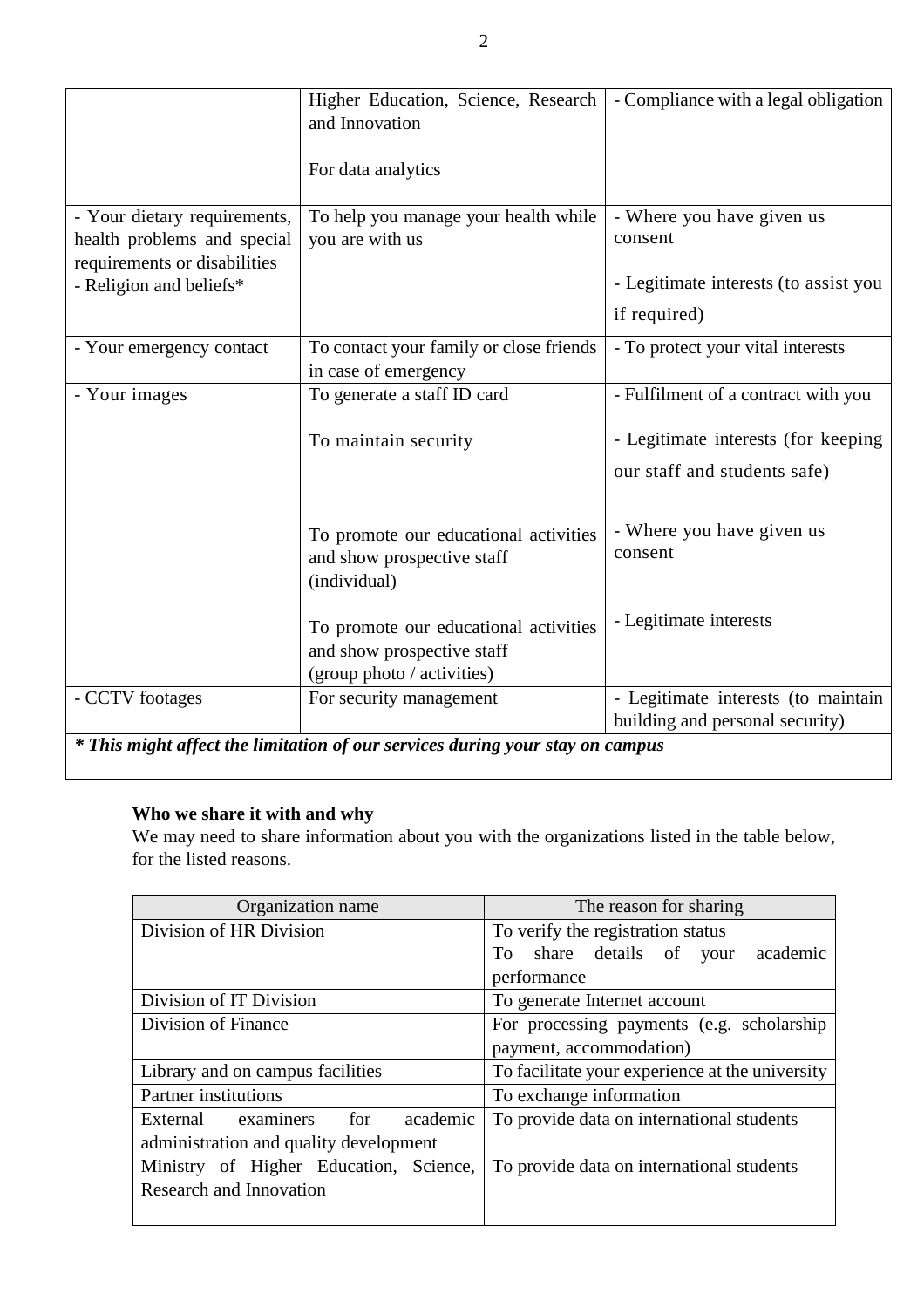|                                                                               | Higher Education, Science, Research<br>and Innovation                                             | - Compliance with a legal obligation  |  |
|-------------------------------------------------------------------------------|---------------------------------------------------------------------------------------------------|---------------------------------------|--|
|                                                                               | For data analytics                                                                                |                                       |  |
| - Your dietary requirements,                                                  | To help you manage your health while                                                              | - Where you have given us             |  |
| health problems and special<br>requirements or disabilities                   | you are with us                                                                                   | consent                               |  |
| - Religion and beliefs*                                                       |                                                                                                   | - Legitimate interests (to assist you |  |
|                                                                               |                                                                                                   | if required)                          |  |
| - Your emergency contact                                                      | To contact your family or close friends<br>in case of emergency                                   | - To protect your vital interests     |  |
| - Your images                                                                 | To generate a staff ID card                                                                       | - Fulfilment of a contract with you   |  |
|                                                                               | To maintain security                                                                              | - Legitimate interests (for keeping   |  |
|                                                                               |                                                                                                   | our staff and students safe)          |  |
|                                                                               | To promote our educational activities<br>and show prospective staff<br>(individual)               | - Where you have given us<br>consent  |  |
|                                                                               | To promote our educational activities<br>and show prospective staff<br>(group photo / activities) | - Legitimate interests                |  |
| - CCTV footages                                                               | For security management                                                                           | - Legitimate interests (to maintain   |  |
|                                                                               |                                                                                                   | building and personal security)       |  |
| * This might affect the limitation of our services during your stay on campus |                                                                                                   |                                       |  |

# **Who we share it with and why**

We may need to share information about you with the organizations listed in the table below, for the listed reasons.

| Organization name                      | The reason for sharing                          |  |
|----------------------------------------|-------------------------------------------------|--|
| Division of HR Division                | To verify the registration status               |  |
|                                        | To share details of your<br>academic            |  |
|                                        | performance                                     |  |
| Division of IT Division                | To generate Internet account                    |  |
| Division of Finance                    | For processing payments (e.g. scholarship       |  |
|                                        | payment, accommodation)                         |  |
| Library and on campus facilities       | To facilitate your experience at the university |  |
| <b>Partner</b> institutions            | To exchange information                         |  |
| External examiners<br>academic<br>for  | To provide data on international students       |  |
| administration and quality development |                                                 |  |
| Ministry of Higher Education, Science, | To provide data on international students       |  |
| Research and Innovation                |                                                 |  |
|                                        |                                                 |  |